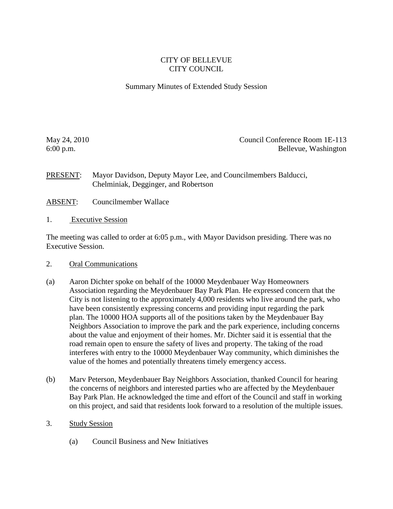### CITY OF BELLEVUE CITY COUNCIL

#### Summary Minutes of Extended Study Session

May 24, 2010 Council Conference Room 1E-113 6:00 p.m. Bellevue, Washington

PRESENT: Mayor Davidson, Deputy Mayor Lee, and Councilmembers Balducci, Chelminiak, Degginger, and Robertson

- ABSENT: Councilmember Wallace
- 1. Executive Session

The meeting was called to order at 6:05 p.m., with Mayor Davidson presiding. There was no Executive Session.

#### 2. Oral Communications

- (a) Aaron Dichter spoke on behalf of the 10000 Meydenbauer Way Homeowners Association regarding the Meydenbauer Bay Park Plan. He expressed concern that the City is not listening to the approximately 4,000 residents who live around the park, who have been consistently expressing concerns and providing input regarding the park plan. The 10000 HOA supports all of the positions taken by the Meydenbauer Bay Neighbors Association to improve the park and the park experience, including concerns about the value and enjoyment of their homes. Mr. Dichter said it is essential that the road remain open to ensure the safety of lives and property. The taking of the road interferes with entry to the 10000 Meydenbauer Way community, which diminishes the value of the homes and potentially threatens timely emergency access.
- (b) Marv Peterson, Meydenbauer Bay Neighbors Association, thanked Council for hearing the concerns of neighbors and interested parties who are affected by the Meydenbauer Bay Park Plan. He acknowledged the time and effort of the Council and staff in working on this project, and said that residents look forward to a resolution of the multiple issues.
- 3. Study Session
	- (a) Council Business and New Initiatives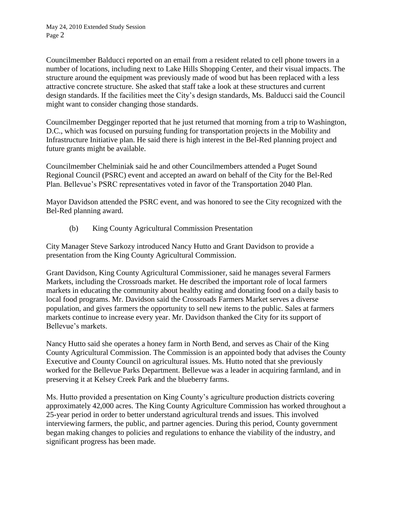Councilmember Balducci reported on an email from a resident related to cell phone towers in a number of locations, including next to Lake Hills Shopping Center, and their visual impacts. The structure around the equipment was previously made of wood but has been replaced with a less attractive concrete structure. She asked that staff take a look at these structures and current design standards. If the facilities meet the City's design standards, Ms. Balducci said the Council might want to consider changing those standards.

Councilmember Degginger reported that he just returned that morning from a trip to Washington, D.C., which was focused on pursuing funding for transportation projects in the Mobility and Infrastructure Initiative plan. He said there is high interest in the Bel-Red planning project and future grants might be available.

Councilmember Chelminiak said he and other Councilmembers attended a Puget Sound Regional Council (PSRC) event and accepted an award on behalf of the City for the Bel-Red Plan. Bellevue's PSRC representatives voted in favor of the Transportation 2040 Plan.

Mayor Davidson attended the PSRC event, and was honored to see the City recognized with the Bel-Red planning award.

(b) King County Agricultural Commission Presentation

City Manager Steve Sarkozy introduced Nancy Hutto and Grant Davidson to provide a presentation from the King County Agricultural Commission.

Grant Davidson, King County Agricultural Commissioner, said he manages several Farmers Markets, including the Crossroads market. He described the important role of local farmers markets in educating the community about healthy eating and donating food on a daily basis to local food programs. Mr. Davidson said the Crossroads Farmers Market serves a diverse population, and gives farmers the opportunity to sell new items to the public. Sales at farmers markets continue to increase every year. Mr. Davidson thanked the City for its support of Bellevue's markets.

Nancy Hutto said she operates a honey farm in North Bend, and serves as Chair of the King County Agricultural Commission. The Commission is an appointed body that advises the County Executive and County Council on agricultural issues. Ms. Hutto noted that she previously worked for the Bellevue Parks Department. Bellevue was a leader in acquiring farmland, and in preserving it at Kelsey Creek Park and the blueberry farms.

Ms. Hutto provided a presentation on King County's agriculture production districts covering approximately 42,000 acres. The King County Agriculture Commission has worked throughout a 25-year period in order to better understand agricultural trends and issues. This involved interviewing farmers, the public, and partner agencies. During this period, County government began making changes to policies and regulations to enhance the viability of the industry, and significant progress has been made.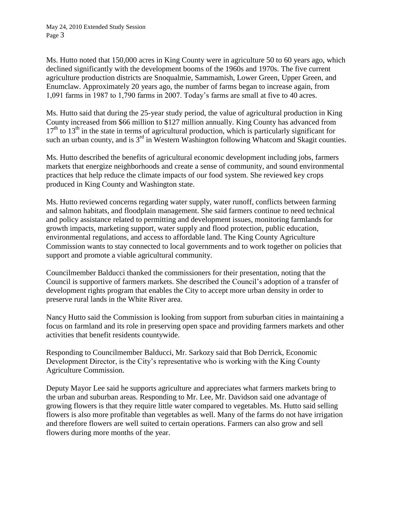Ms. Hutto noted that 150,000 acres in King County were in agriculture 50 to 60 years ago, which declined significantly with the development booms of the 1960s and 1970s. The five current agriculture production districts are Snoqualmie, Sammamish, Lower Green, Upper Green, and Enumclaw. Approximately 20 years ago, the number of farms began to increase again, from 1,091 farms in 1987 to 1,790 farms in 2007. Today's farms are small at five to 40 acres.

Ms. Hutto said that during the 25-year study period, the value of agricultural production in King County increased from \$66 million to \$127 million annually. King County has advanced from  $17<sup>th</sup>$  to  $13<sup>th</sup>$  in the state in terms of agricultural production, which is particularly significant for such an urban county, and is  $3<sup>rd</sup>$  in Western Washington following Whatcom and Skagit counties.

Ms. Hutto described the benefits of agricultural economic development including jobs, farmers markets that energize neighborhoods and create a sense of community, and sound environmental practices that help reduce the climate impacts of our food system. She reviewed key crops produced in King County and Washington state.

Ms. Hutto reviewed concerns regarding water supply, water runoff, conflicts between farming and salmon habitats, and floodplain management. She said farmers continue to need technical and policy assistance related to permitting and development issues, monitoring farmlands for growth impacts, marketing support, water supply and flood protection, public education, environmental regulations, and access to affordable land. The King County Agriculture Commission wants to stay connected to local governments and to work together on policies that support and promote a viable agricultural community.

Councilmember Balducci thanked the commissioners for their presentation, noting that the Council is supportive of farmers markets. She described the Council's adoption of a transfer of development rights program that enables the City to accept more urban density in order to preserve rural lands in the White River area.

Nancy Hutto said the Commission is looking from support from suburban cities in maintaining a focus on farmland and its role in preserving open space and providing farmers markets and other activities that benefit residents countywide.

Responding to Councilmember Balducci, Mr. Sarkozy said that Bob Derrick, Economic Development Director, is the City's representative who is working with the King County Agriculture Commission.

Deputy Mayor Lee said he supports agriculture and appreciates what farmers markets bring to the urban and suburban areas. Responding to Mr. Lee, Mr. Davidson said one advantage of growing flowers is that they require little water compared to vegetables. Ms. Hutto said selling flowers is also more profitable than vegetables as well. Many of the farms do not have irrigation and therefore flowers are well suited to certain operations. Farmers can also grow and sell flowers during more months of the year.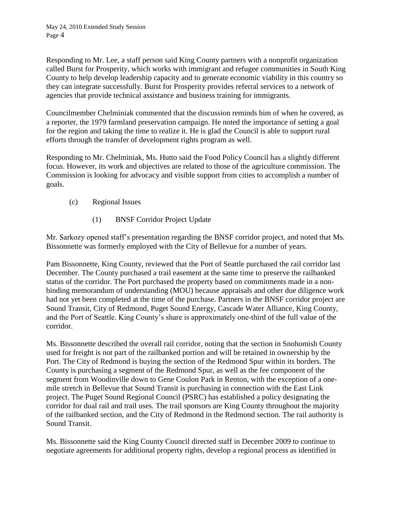Responding to Mr. Lee, a staff person said King County partners with a nonprofit organization called Burst for Prosperity, which works with immigrant and refugee communities in South King County to help develop leadership capacity and to generate economic viability in this country so they can integrate successfully. Burst for Prosperity provides referral services to a network of agencies that provide technical assistance and business training for immigrants.

Councilmember Chelminiak commented that the discussion reminds him of when he covered, as a reporter, the 1979 farmland preservation campaign. He noted the importance of setting a goal for the region and taking the time to realize it. He is glad the Council is able to support rural efforts through the transfer of development rights program as well.

Responding to Mr. Chelminiak, Ms. Hutto said the Food Policy Council has a slightly different focus. However, its work and objectives are related to those of the agriculture commission. The Commission is looking for advocacy and visible support from cities to accomplish a number of goals.

### (c) Regional Issues

(1) BNSF Corridor Project Update

Mr. Sarkozy opened staff's presentation regarding the BNSF corridor project, and noted that Ms. Bissonnette was formerly employed with the City of Bellevue for a number of years.

Pam Bissonnette, King County, reviewed that the Port of Seattle purchased the rail corridor last December. The County purchased a trail easement at the same time to preserve the railbanked status of the corridor. The Port purchased the property based on commitments made in a nonbinding memorandum of understanding (MOU) because appraisals and other due diligence work had not yet been completed at the time of the purchase. Partners in the BNSF corridor project are Sound Transit, City of Redmond, Puget Sound Energy, Cascade Water Alliance, King County, and the Port of Seattle. King County's share is approximately one-third of the full value of the corridor.

Ms. Bissonnette described the overall rail corridor, noting that the section in Snohomish County used for freight is not part of the railbanked portion and will be retained in ownership by the Port. The City of Redmond is buying the section of the Redmond Spur within its borders. The County is purchasing a segment of the Redmond Spur, as well as the fee component of the segment from Woodinville down to Gene Coulon Park in Renton, with the exception of a onemile stretch in Bellevue that Sound Transit is purchasing in connection with the East Link project. The Puget Sound Regional Council (PSRC) has established a policy designating the corridor for dual rail and trail uses. The trail sponsors are King County throughout the majority of the railbanked section, and the City of Redmond in the Redmond section. The rail authority is Sound Transit.

Ms. Bissonnette said the King County Council directed staff in December 2009 to continue to negotiate agreements for additional property rights, develop a regional process as identified in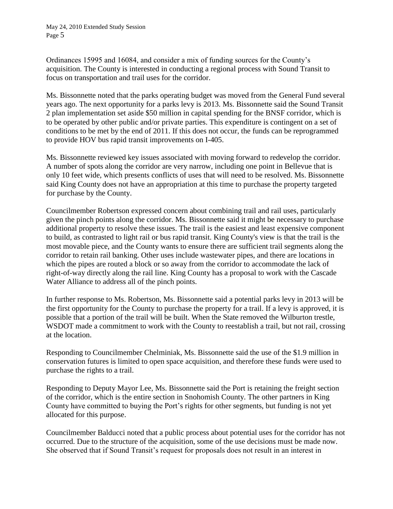May 24, 2010 Extended Study Session Page 5

Ordinances 15995 and 16084, and consider a mix of funding sources for the County's acquisition. The County is interested in conducting a regional process with Sound Transit to focus on transportation and trail uses for the corridor.

Ms. Bissonnette noted that the parks operating budget was moved from the General Fund several years ago. The next opportunity for a parks levy is 2013. Ms. Bissonnette said the Sound Transit 2 plan implementation set aside \$50 million in capital spending for the BNSF corridor, which is to be operated by other public and/or private parties. This expenditure is contingent on a set of conditions to be met by the end of 2011. If this does not occur, the funds can be reprogrammed to provide HOV bus rapid transit improvements on I-405.

Ms. Bissonnette reviewed key issues associated with moving forward to redevelop the corridor. A number of spots along the corridor are very narrow, including one point in Bellevue that is only 10 feet wide, which presents conflicts of uses that will need to be resolved. Ms. Bissonnette said King County does not have an appropriation at this time to purchase the property targeted for purchase by the County.

Councilmember Robertson expressed concern about combining trail and rail uses, particularly given the pinch points along the corridor. Ms. Bissonnette said it might be necessary to purchase additional property to resolve these issues. The trail is the easiest and least expensive component to build, as contrasted to light rail or bus rapid transit. King County's view is that the trail is the most movable piece, and the County wants to ensure there are sufficient trail segments along the corridor to retain rail banking. Other uses include wastewater pipes, and there are locations in which the pipes are routed a block or so away from the corridor to accommodate the lack of right-of-way directly along the rail line. King County has a proposal to work with the Cascade Water Alliance to address all of the pinch points.

In further response to Ms. Robertson, Ms. Bissonnette said a potential parks levy in 2013 will be the first opportunity for the County to purchase the property for a trail. If a levy is approved, it is possible that a portion of the trail will be built. When the State removed the Wilburton trestle, WSDOT made a commitment to work with the County to reestablish a trail, but not rail, crossing at the location.

Responding to Councilmember Chelminiak, Ms. Bissonnette said the use of the \$1.9 million in conservation futures is limited to open space acquisition, and therefore these funds were used to purchase the rights to a trail.

Responding to Deputy Mayor Lee, Ms. Bissonnette said the Port is retaining the freight section of the corridor, which is the entire section in Snohomish County. The other partners in King County have committed to buying the Port's rights for other segments, but funding is not yet allocated for this purpose.

Councilmember Balducci noted that a public process about potential uses for the corridor has not occurred. Due to the structure of the acquisition, some of the use decisions must be made now. She observed that if Sound Transit's request for proposals does not result in an interest in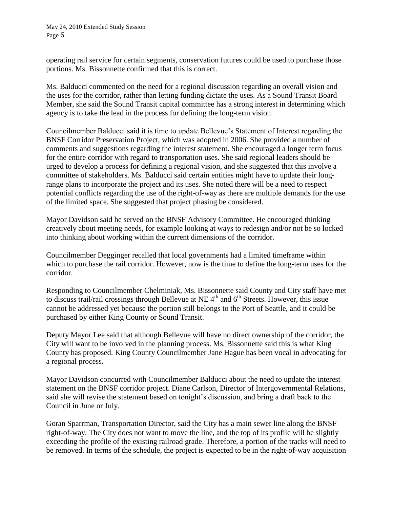May 24, 2010 Extended Study Session Page 6

operating rail service for certain segments, conservation futures could be used to purchase those portions. Ms. Bissonnette confirmed that this is correct.

Ms. Balducci commented on the need for a regional discussion regarding an overall vision and the uses for the corridor, rather than letting funding dictate the uses. As a Sound Transit Board Member, she said the Sound Transit capital committee has a strong interest in determining which agency is to take the lead in the process for defining the long-term vision.

Councilmember Balducci said it is time to update Bellevue's Statement of Interest regarding the BNSF Corridor Preservation Project, which was adopted in 2006. She provided a number of comments and suggestions regarding the interest statement. She encouraged a longer term focus for the entire corridor with regard to transportation uses. She said regional leaders should be urged to develop a process for defining a regional vision, and she suggested that this involve a committee of stakeholders. Ms. Balducci said certain entities might have to update their longrange plans to incorporate the project and its uses. She noted there will be a need to respect potential conflicts regarding the use of the right-of-way as there are multiple demands for the use of the limited space. She suggested that project phasing be considered.

Mayor Davidson said he served on the BNSF Advisory Committee. He encouraged thinking creatively about meeting needs, for example looking at ways to redesign and/or not be so locked into thinking about working within the current dimensions of the corridor.

Councilmember Degginger recalled that local governments had a limited timeframe within which to purchase the rail corridor. However, now is the time to define the long-term uses for the corridor.

Responding to Councilmember Chelminiak, Ms. Bissonnette said County and City staff have met to discuss trail/rail crossings through Bellevue at NE  $4<sup>th</sup>$  and  $6<sup>th</sup>$  Streets. However, this issue cannot be addressed yet because the portion still belongs to the Port of Seattle, and it could be purchased by either King County or Sound Transit.

Deputy Mayor Lee said that although Bellevue will have no direct ownership of the corridor, the City will want to be involved in the planning process. Ms. Bissonnette said this is what King County has proposed. King County Councilmember Jane Hague has been vocal in advocating for a regional process.

Mayor Davidson concurred with Councilmember Balducci about the need to update the interest statement on the BNSF corridor project. Diane Carlson, Director of Intergovernmental Relations, said she will revise the statement based on tonight's discussion, and bring a draft back to the Council in June or July.

Goran Sparrman, Transportation Director, said the City has a main sewer line along the BNSF right-of-way. The City does not want to move the line, and the top of its profile will be slightly exceeding the profile of the existing railroad grade. Therefore, a portion of the tracks will need to be removed. In terms of the schedule, the project is expected to be in the right-of-way acquisition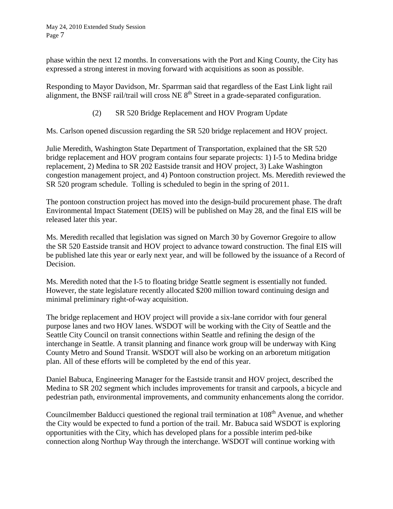phase within the next 12 months. In conversations with the Port and King County, the City has expressed a strong interest in moving forward with acquisitions as soon as possible.

Responding to Mayor Davidson, Mr. Sparrman said that regardless of the East Link light rail alignment, the BNSF rail/trail will cross NE  $8<sup>th</sup>$  Street in a grade-separated configuration.

# (2) SR 520 Bridge Replacement and HOV Program Update

Ms. Carlson opened discussion regarding the SR 520 bridge replacement and HOV project.

Julie Meredith, Washington State Department of Transportation, explained that the SR 520 bridge replacement and HOV program contains four separate projects: 1) I-5 to Medina bridge replacement, 2) Medina to SR 202 Eastside transit and HOV project, 3) Lake Washington congestion management project, and 4) Pontoon construction project. Ms. Meredith reviewed the SR 520 program schedule. Tolling is scheduled to begin in the spring of 2011.

The pontoon construction project has moved into the design-build procurement phase. The draft Environmental Impact Statement (DEIS) will be published on May 28, and the final EIS will be released later this year.

Ms. Meredith recalled that legislation was signed on March 30 by Governor Gregoire to allow the SR 520 Eastside transit and HOV project to advance toward construction. The final EIS will be published late this year or early next year, and will be followed by the issuance of a Record of Decision.

Ms. Meredith noted that the I-5 to floating bridge Seattle segment is essentially not funded. However, the state legislature recently allocated \$200 million toward continuing design and minimal preliminary right-of-way acquisition.

The bridge replacement and HOV project will provide a six-lane corridor with four general purpose lanes and two HOV lanes. WSDOT will be working with the City of Seattle and the Seattle City Council on transit connections within Seattle and refining the design of the interchange in Seattle. A transit planning and finance work group will be underway with King County Metro and Sound Transit. WSDOT will also be working on an arboretum mitigation plan. All of these efforts will be completed by the end of this year.

Daniel Babuca, Engineering Manager for the Eastside transit and HOV project, described the Medina to SR 202 segment which includes improvements for transit and carpools, a bicycle and pedestrian path, environmental improvements, and community enhancements along the corridor.

Councilmember Balducci questioned the regional trail termination at 108<sup>th</sup> Avenue, and whether the City would be expected to fund a portion of the trail. Mr. Babuca said WSDOT is exploring opportunities with the City, which has developed plans for a possible interim ped-bike connection along Northup Way through the interchange. WSDOT will continue working with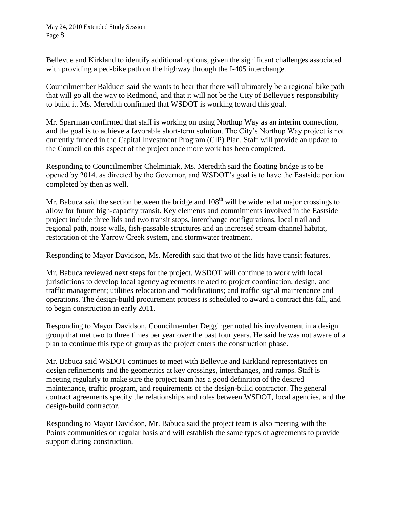Bellevue and Kirkland to identify additional options, given the significant challenges associated with providing a ped-bike path on the highway through the I-405 interchange.

Councilmember Balducci said she wants to hear that there will ultimately be a regional bike path that will go all the way to Redmond, and that it will not be the City of Bellevue's responsibility to build it. Ms. Meredith confirmed that WSDOT is working toward this goal.

Mr. Sparrman confirmed that staff is working on using Northup Way as an interim connection, and the goal is to achieve a favorable short-term solution. The City's Northup Way project is not currently funded in the Capital Investment Program (CIP) Plan. Staff will provide an update to the Council on this aspect of the project once more work has been completed.

Responding to Councilmember Chelminiak, Ms. Meredith said the floating bridge is to be opened by 2014, as directed by the Governor, and WSDOT's goal is to have the Eastside portion completed by then as well.

Mr. Babuca said the section between the bridge and  $108<sup>th</sup>$  will be widened at major crossings to allow for future high-capacity transit. Key elements and commitments involved in the Eastside project include three lids and two transit stops, interchange configurations, local trail and regional path, noise walls, fish-passable structures and an increased stream channel habitat, restoration of the Yarrow Creek system, and stormwater treatment.

Responding to Mayor Davidson, Ms. Meredith said that two of the lids have transit features.

Mr. Babuca reviewed next steps for the project. WSDOT will continue to work with local jurisdictions to develop local agency agreements related to project coordination, design, and traffic management; utilities relocation and modifications; and traffic signal maintenance and operations. The design-build procurement process is scheduled to award a contract this fall, and to begin construction in early 2011.

Responding to Mayor Davidson, Councilmember Degginger noted his involvement in a design group that met two to three times per year over the past four years. He said he was not aware of a plan to continue this type of group as the project enters the construction phase.

Mr. Babuca said WSDOT continues to meet with Bellevue and Kirkland representatives on design refinements and the geometrics at key crossings, interchanges, and ramps. Staff is meeting regularly to make sure the project team has a good definition of the desired maintenance, traffic program, and requirements of the design-build contractor. The general contract agreements specify the relationships and roles between WSDOT, local agencies, and the design-build contractor.

Responding to Mayor Davidson, Mr. Babuca said the project team is also meeting with the Points communities on regular basis and will establish the same types of agreements to provide support during construction.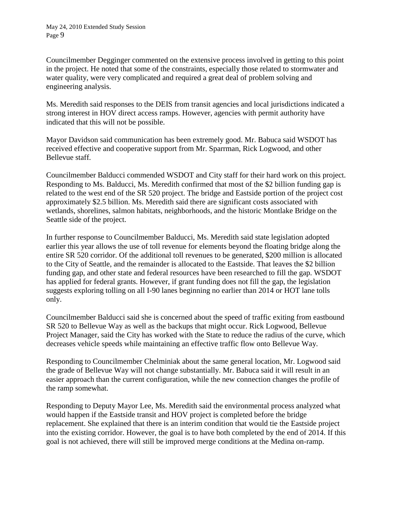Councilmember Degginger commented on the extensive process involved in getting to this point in the project. He noted that some of the constraints, especially those related to stormwater and water quality, were very complicated and required a great deal of problem solving and engineering analysis.

Ms. Meredith said responses to the DEIS from transit agencies and local jurisdictions indicated a strong interest in HOV direct access ramps. However, agencies with permit authority have indicated that this will not be possible.

Mayor Davidson said communication has been extremely good. Mr. Babuca said WSDOT has received effective and cooperative support from Mr. Sparrman, Rick Logwood, and other Bellevue staff.

Councilmember Balducci commended WSDOT and City staff for their hard work on this project. Responding to Ms. Balducci, Ms. Meredith confirmed that most of the \$2 billion funding gap is related to the west end of the SR 520 project. The bridge and Eastside portion of the project cost approximately \$2.5 billion. Ms. Meredith said there are significant costs associated with wetlands, shorelines, salmon habitats, neighborhoods, and the historic Montlake Bridge on the Seattle side of the project.

In further response to Councilmember Balducci, Ms. Meredith said state legislation adopted earlier this year allows the use of toll revenue for elements beyond the floating bridge along the entire SR 520 corridor. Of the additional toll revenues to be generated, \$200 million is allocated to the City of Seattle, and the remainder is allocated to the Eastside. That leaves the \$2 billion funding gap, and other state and federal resources have been researched to fill the gap. WSDOT has applied for federal grants. However, if grant funding does not fill the gap, the legislation suggests exploring tolling on all I-90 lanes beginning no earlier than 2014 or HOT lane tolls only.

Councilmember Balducci said she is concerned about the speed of traffic exiting from eastbound SR 520 to Bellevue Way as well as the backups that might occur. Rick Logwood, Bellevue Project Manager, said the City has worked with the State to reduce the radius of the curve, which decreases vehicle speeds while maintaining an effective traffic flow onto Bellevue Way.

Responding to Councilmember Chelminiak about the same general location, Mr. Logwood said the grade of Bellevue Way will not change substantially. Mr. Babuca said it will result in an easier approach than the current configuration, while the new connection changes the profile of the ramp somewhat.

Responding to Deputy Mayor Lee, Ms. Meredith said the environmental process analyzed what would happen if the Eastside transit and HOV project is completed before the bridge replacement. She explained that there is an interim condition that would tie the Eastside project into the existing corridor. However, the goal is to have both completed by the end of 2014. If this goal is not achieved, there will still be improved merge conditions at the Medina on-ramp.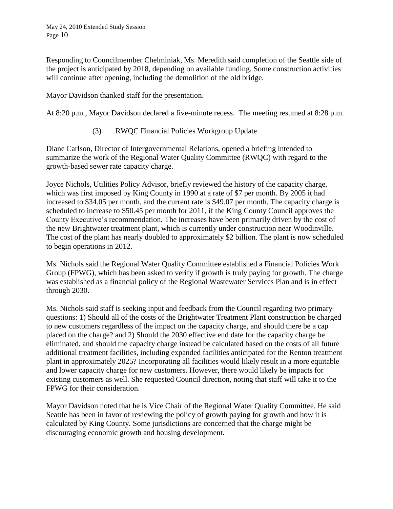Responding to Councilmember Chelminiak, Ms. Meredith said completion of the Seattle side of the project is anticipated by 2018, depending on available funding. Some construction activities will continue after opening, including the demolition of the old bridge.

Mayor Davidson thanked staff for the presentation.

At 8:20 p.m., Mayor Davidson declared a five-minute recess. The meeting resumed at 8:28 p.m.

(3) RWQC Financial Policies Workgroup Update

Diane Carlson, Director of Intergovernmental Relations, opened a briefing intended to summarize the work of the Regional Water Quality Committee (RWQC) with regard to the growth-based sewer rate capacity charge.

Joyce Nichols, Utilities Policy Advisor, briefly reviewed the history of the capacity charge, which was first imposed by King County in 1990 at a rate of \$7 per month. By 2005 it had increased to \$34.05 per month, and the current rate is \$49.07 per month. The capacity charge is scheduled to increase to \$50.45 per month for 2011, if the King County Council approves the County Executive's recommendation. The increases have been primarily driven by the cost of the new Brightwater treatment plant, which is currently under construction near Woodinville. The cost of the plant has nearly doubled to approximately \$2 billion. The plant is now scheduled to begin operations in 2012.

Ms. Nichols said the Regional Water Quality Committee established a Financial Policies Work Group (FPWG), which has been asked to verify if growth is truly paying for growth. The charge was established as a financial policy of the Regional Wastewater Services Plan and is in effect through 2030.

Ms. Nichols said staff is seeking input and feedback from the Council regarding two primary questions: 1) Should all of the costs of the Brightwater Treatment Plant construction be charged to new customers regardless of the impact on the capacity charge, and should there be a cap placed on the charge? and 2) Should the 2030 effective end date for the capacity charge be eliminated, and should the capacity charge instead be calculated based on the costs of all future additional treatment facilities, including expanded facilities anticipated for the Renton treatment plant in approximately 2025? Incorporating all facilities would likely result in a more equitable and lower capacity charge for new customers. However, there would likely be impacts for existing customers as well. She requested Council direction, noting that staff will take it to the FPWG for their consideration.

Mayor Davidson noted that he is Vice Chair of the Regional Water Quality Committee. He said Seattle has been in favor of reviewing the policy of growth paying for growth and how it is calculated by King County. Some jurisdictions are concerned that the charge might be discouraging economic growth and housing development.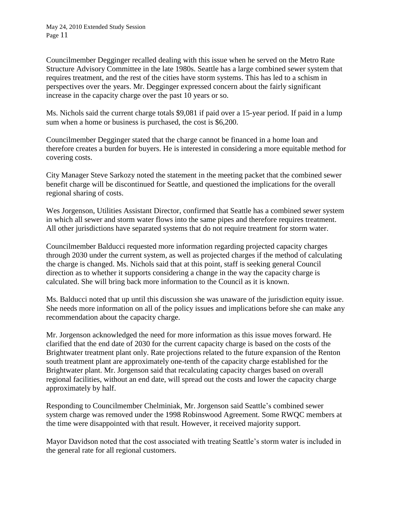Councilmember Degginger recalled dealing with this issue when he served on the Metro Rate Structure Advisory Committee in the late 1980s. Seattle has a large combined sewer system that requires treatment, and the rest of the cities have storm systems. This has led to a schism in perspectives over the years. Mr. Degginger expressed concern about the fairly significant increase in the capacity charge over the past 10 years or so.

Ms. Nichols said the current charge totals \$9,081 if paid over a 15-year period. If paid in a lump sum when a home or business is purchased, the cost is \$6,200.

Councilmember Degginger stated that the charge cannot be financed in a home loan and therefore creates a burden for buyers. He is interested in considering a more equitable method for covering costs.

City Manager Steve Sarkozy noted the statement in the meeting packet that the combined sewer benefit charge will be discontinued for Seattle, and questioned the implications for the overall regional sharing of costs.

Wes Jorgenson, Utilities Assistant Director, confirmed that Seattle has a combined sewer system in which all sewer and storm water flows into the same pipes and therefore requires treatment. All other jurisdictions have separated systems that do not require treatment for storm water.

Councilmember Balducci requested more information regarding projected capacity charges through 2030 under the current system, as well as projected charges if the method of calculating the charge is changed. Ms. Nichols said that at this point, staff is seeking general Council direction as to whether it supports considering a change in the way the capacity charge is calculated. She will bring back more information to the Council as it is known.

Ms. Balducci noted that up until this discussion she was unaware of the jurisdiction equity issue. She needs more information on all of the policy issues and implications before she can make any recommendation about the capacity charge.

Mr. Jorgenson acknowledged the need for more information as this issue moves forward. He clarified that the end date of 2030 for the current capacity charge is based on the costs of the Brightwater treatment plant only. Rate projections related to the future expansion of the Renton south treatment plant are approximately one-tenth of the capacity charge established for the Brightwater plant. Mr. Jorgenson said that recalculating capacity charges based on overall regional facilities, without an end date, will spread out the costs and lower the capacity charge approximately by half.

Responding to Councilmember Chelminiak, Mr. Jorgenson said Seattle's combined sewer system charge was removed under the 1998 Robinswood Agreement. Some RWQC members at the time were disappointed with that result. However, it received majority support.

Mayor Davidson noted that the cost associated with treating Seattle's storm water is included in the general rate for all regional customers.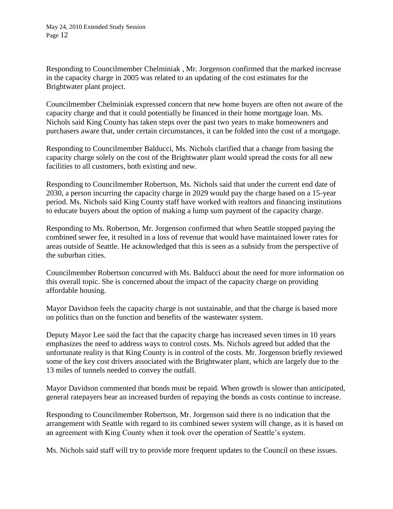Responding to Councilmember Chelminiak , Mr. Jorgenson confirmed that the marked increase in the capacity charge in 2005 was related to an updating of the cost estimates for the Brightwater plant project.

Councilmember Chelminiak expressed concern that new home buyers are often not aware of the capacity charge and that it could potentially be financed in their home mortgage loan. Ms. Nichols said King County has taken steps over the past two years to make homeowners and purchasers aware that, under certain circumstances, it can be folded into the cost of a mortgage.

Responding to Councilmember Balducci, Ms. Nichols clarified that a change from basing the capacity charge solely on the cost of the Brightwater plant would spread the costs for all new facilities to all customers, both existing and new.

Responding to Councilmember Robertson, Ms. Nichols said that under the current end date of 2030, a person incurring the capacity charge in 2029 would pay the charge based on a 15-year period. Ms. Nichols said King County staff have worked with realtors and financing institutions to educate buyers about the option of making a lump sum payment of the capacity charge.

Responding to Ms. Robertson, Mr. Jorgenson confirmed that when Seattle stopped paying the combined sewer fee, it resulted in a loss of revenue that would have maintained lower rates for areas outside of Seattle. He acknowledged that this is seen as a subsidy from the perspective of the suburban cities.

Councilmember Robertson concurred with Ms. Balducci about the need for more information on this overall topic. She is concerned about the impact of the capacity charge on providing affordable housing.

Mayor Davidson feels the capacity charge is not sustainable, and that the charge is based more on politics than on the function and benefits of the wastewater system.

Deputy Mayor Lee said the fact that the capacity charge has increased seven times in 10 years emphasizes the need to address ways to control costs. Ms. Nichols agreed but added that the unfortunate reality is that King County is in control of the costs. Mr. Jorgenson briefly reviewed some of the key cost drivers associated with the Brightwater plant, which are largely due to the 13 miles of tunnels needed to convey the outfall.

Mayor Davidson commented that bonds must be repaid. When growth is slower than anticipated, general ratepayers bear an increased burden of repaying the bonds as costs continue to increase.

Responding to Councilmember Robertson, Mr. Jorgenson said there is no indication that the arrangement with Seattle with regard to its combined sewer system will change, as it is based on an agreement with King County when it took over the operation of Seattle's system.

Ms. Nichols said staff will try to provide more frequent updates to the Council on these issues.